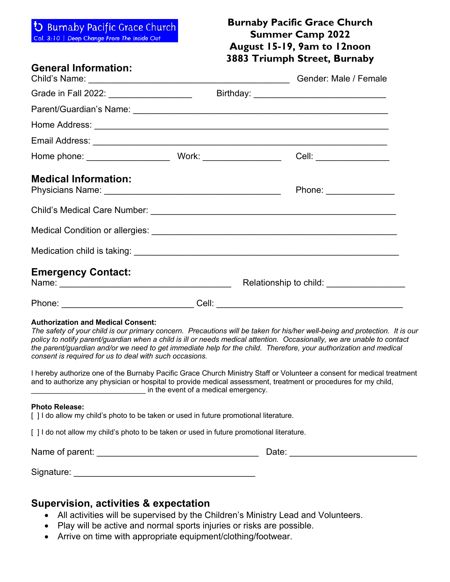### **D** Burnaby Pacific Grace Church

Col. 3:10 | Deep Change From The Inside Out

## **Burnaby Pacific Grace Church Summer Camp 2022 August 15-19, 9am to 12noon 3883 Triumph Street, Burnaby**

### **General Information:**

| General Information:                      |  | Gender: Male / Female   |  |
|-------------------------------------------|--|-------------------------|--|
| Grade in Fall 2022: _____________________ |  |                         |  |
|                                           |  |                         |  |
|                                           |  |                         |  |
|                                           |  |                         |  |
|                                           |  | Cell: _________________ |  |
| <b>Medical Information:</b>               |  | Phone: ________________ |  |
|                                           |  |                         |  |
|                                           |  |                         |  |
|                                           |  |                         |  |
| <b>Emergency Contact:</b>                 |  |                         |  |
|                                           |  |                         |  |

#### **Authorization and Medical Consent:**

*The safety of your child is our primary concern. Precautions will be taken for his/her well-being and protection. It is our policy to notify parent/guardian when a child is ill or needs medical attention. Occasionally, we are unable to contact*  the parent/guardian and/or we need to get immediate help for the child. Therefore, your authorization and medical *consent is required for us to deal with such occasions.*

I hereby authorize one of the Burnaby Pacific Grace Church Ministry Staff or Volunteer a consent for medical treatment and to authorize any physician or hospital to provide medical assessment, treatment or procedures for my child, in the event of a medical emergency.

#### **Photo Release:**

| [] I do allow my child's photo to be taken or used in future promotional literature. |  |
|--------------------------------------------------------------------------------------|--|
|--------------------------------------------------------------------------------------|--|

[ ] I do not allow my child's photo to be taken or used in future promotional literature.

Name of parent: \_\_\_\_\_\_\_\_\_\_\_\_\_\_\_\_\_\_\_\_\_\_\_\_\_\_\_\_\_\_\_\_\_ Date: \_\_\_\_\_\_\_\_\_\_\_\_\_\_\_\_\_\_\_\_\_\_\_\_\_\_

Signature:  $\Box$ 

#### **Supervision, activities & expectation**

- All activities will be supervised by the Children's Ministry Lead and Volunteers.
- Play will be active and normal sports injuries or risks are possible.
- Arrive on time with appropriate equipment/clothing/footwear.